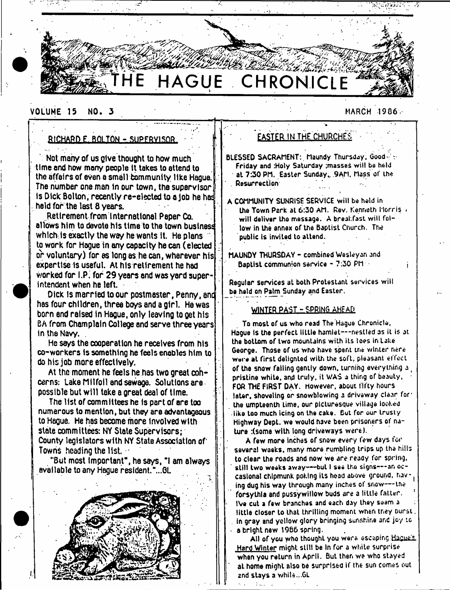# **THE HAGUE CHRONICLE**

#### VOLUME 15 NO. 3 MARCH 1906

#### RICHARD E. BOLTON - SUPFRV1SDR •

' Not many of us Qive thought to how much time and how many people it takes to attend to the affairs of even a small community like Hague. The number one man in our town, the supervisor is Dick Bolton, recently re-elected to a job he had held for the last 8 years.

Retirement from I nternational Paper Co. allows him to devote his time to the town business which is exactly the way he wants it. He plans to work for Hague in any capacity he can (elected or voluntary) for es long as he can, wherever his expertise is useful. At his retirement he had viorked for I.P. for 29 years and was yard superintendent when he left.

Dick Is married to our postmaster, Penny, anc has four children, three boys and a girl. He was born end raised In Hague, only leaving to get his BA from Champlain College and serve three years in the Navy. .

He says the cooperation he receives from his co-workers Is something he feels enables him to do his job more effectively.

At the moment he feels he has two great cohcerns: Lake Milfoil and sewage. Solutions are possible but will take a great deal of time.

The list of committees he is part of are too numerous to mention, but they are advantageous to Hague. He has become more Involved with state committees: NY State Supervisors; County legislators with NY State Association of Towns heading the list.  $\pm$ 

"But most important", he says, "1 am always available to any Hague resident."...0L



#### EASTER IN THE CHURCHES

BLESSED SACRAMENT: Maundy Thursday, Good-Friday and :Hoty Saturday ;masse£ will bo held at 7:30 PM. Easter Sunday, 9AM, Mass of the . Resurrection

A COMMUNITY SUNRISE SERVICE will be held in the Town Park at 6:30 AM. Rev. Kenneth Horris will deliver the message. A breakfast will follow in the annex of the Baptist Church. The public is invited to attend.

MAUNDY THURSDAY - combined Wesleyan and Baptist communion service - 7:30 PM

Regular services at both Protestant services will be held on Palm Sunday and Easter.

#### WINTER PAST - SPRING AHEAD.

To most of us who read The Hague Chronicle, Hague is the perfect little hamlet— nestled as it is at the bottom of two mountains with iLs toes in take George. Those of us who have spent the winter nere ware at first delignted with the soft, pleasant effect of the snow falling gently down, turning everything a ( pristine white, and truly, it WAS a thing of beauty, FOR THE FIRST DAY. however, about fifty hours later, shoveling or snowblowing a driveway clear for' the umpteenth Lime, our picturesque village looked like too much icing on the cake. But for our trusty Highway DepL. we would have been prisoners of nature :(some with long driveways were).

A few more inches of snow every few days for several waeks, many more rumbling trips up the hills to clear the roads and now we are ready for spring, still two weeks away---but I see the signs---an occasional chipmunk poking its head above ground, having dug his way through many inches of snow---the forsythla and pussywillow buds are a little fatter. IVe cut a few branches and each day they seam a little closer to that thrilling moment when they Durst. in gray and yellow glory bringing sunshine and joy to a bright new 1966 spring.

All of you who thought you were escaping Hague's Hard Winter might still be In for a white surprise when you return in April. But then we who stayed at home might also oe surprised if the sun comes out and stays a while...GL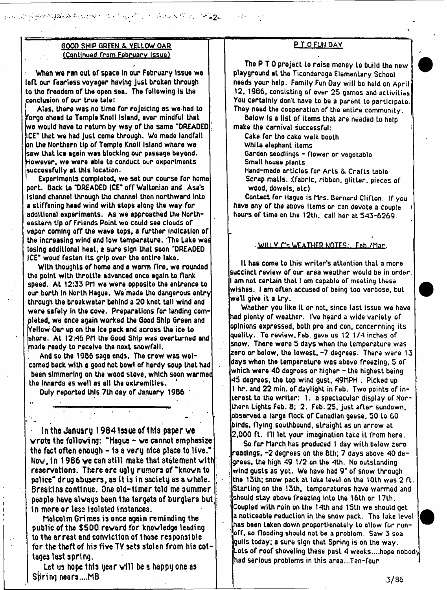#### GOOD SHIP GREEN &. YELLOW OAR (Continued from February Issue)

- **2**-

When we ran out of space in our February issue we left our fearless voyager having just broken through to the freedom of the open sea. The following Is the conclusion of our true tale:

Alas, there was no time for rejoicing as we had to forge ahead to Temple Knoll Island, ever mindful that we would have to return by way of the same "DREADED ICE\* that we had just come through. We made landfall on the Northern tip of Temple Knoll Island where we sow that Ice again was blocking our passage beyond. However, we were able to conduct our experiments [successfully at this location.

Experiments completed, we set our course for home port. Back to "DREADED |CE" off Waltonian and Asa's Island channel through the channel then northward into a stiffening head wind with stops along the way for additional experiments. As we approached the Northeastern tip of Friends Point we could see clouds of vapor coming ofT the wave tops, a further Indication of Lhe increasing wind and low temperature. The Lake was losing additional heat, a sure sign that soon "DREADED llCE" woud fasten its grip over the entire lake.

With thoughts of home and a warm fire, we rounded tho point with throttle advanced once again to Hank speed. At 12:33 PH we were opposite the entrance to our berth In North Hague. We made the dangerous entry through the breakwater behind a 20 knot tail wind and were safely In the cove. Preparations for landing completed. we once again worked the Good Ship Green and Yellow Oar up on the Ice pack and across the ice to shore. At 12:45 P(1 the Good Ship was overturned and made ready to receive the next snowfall.

And so the 1986 saga ends. The crew was welcomed back with a good hot bowl of hardy soup that had been simmering on the wood stove, which soon warmec tho Innards es well as all the extremities.

Duly reported this 7th day of January 1986

In the January 1984 issue of this paper we wrote the following: "Hague  $-$  we cannot emphasize the fact often enough - is a very nice place to live." Now. In 1986 we can still make that statement with reservations, there arc ugly rumors of "known to police" drug abusers, as it is in society as a whole. Sreakins continue. One old-timer told me summer people have always been the targets of burglars but in more or less isolated instances.

Malcolm Grimes is once again reminding the public of the \$500 reward for knowledge leading to the arrest and conviction of those responsible for the theft of his five TY sets stolen from his cottages last spring.

Let us hope this year will be a happy one as Spring nears....MB

#### P T 0 FUN DAY

The P T 0 project to raise money to build the new playground at the Ticonderoga Elementary School needs your help. Family Fun Day will bo held on April .12, 1986, consisting of over 25 games and activities You certainly don't have to be a parent Lo participate. They need the cooperation of the entire community.

Below Is a list of items that are needed to help make the carnival successful:

Cake for the cake walk booth

White elephant items

- Garden seedlings flower or vegetable
- Small house planLs
- Hand-made articles for Arts & Crafts table Scrap malls. :(fabric, ribbon, glitter, pieces of wood, dowels, etc)

Contact for Hague is Mrs. Bernard Clifton. If you have any of the above Items or can devote a couple hours of time on the 12th. call her at 543-6269.

#### <u>- WILLY C's WEATHER NOTES : \_ Feb ,/Mar .</u>

It has come to this writer's attention thaL a more succinct review of our area weather would be in order. I am not certain that I am capable of meeting these wishes. I am often accused of being too verbose, but well give it a try.

Whether you like it or not, since last issue we have had plenty of weather. IVe heard a wide variety of opinions expressed, both pro and con, concerning its quality. To review, Feb. gave us 12 1/4 inches of snow. There were 5 days when the temperature was zero or below, the lowest, -7 degrees. There were 13 days when the temperature was above freezing, 5 of which were 40 degrees or higher - the highest being 45 degrees, the top wind gust, 49MPH . Picked up 1 hr. and 22 min. of daylight in Feb, Two points of interest to the writer: 1. a spectacular display of Northern Lights Feb. 8; 2. Feb. 25. just after sundown, observed a large flock of Canadian geese, 50 to 60 birds, flying southbound, straight as an arrow at 2,000 ft. Ill let your imagination take it from here.

So far March has produced 1 day with below zero readings, -2 degrees on the 8th: 7 days above 40 degrees, the high 49 1/2 on the 4th. No outstanding wind gusts as yet. We have had 9" of snow through the 13th; snow pack at lake level on the 10th was 2 ft. Starting on the 13th, temperatures have warmed and should stay above freezing into lhe 16th or 17th. Coupled with rain on the 14th and 15Lh we should get a noticeable reduction in the snow pack. The lake leve has been taken down proportionately to allow for runoff, so flooding should not ba a problem. Saw 3 sea gulls today; a sure sign that Spring is on the way. Lots of roof shoveling these past 4 weeks....hope nobody had serious problems in this area...Ten-four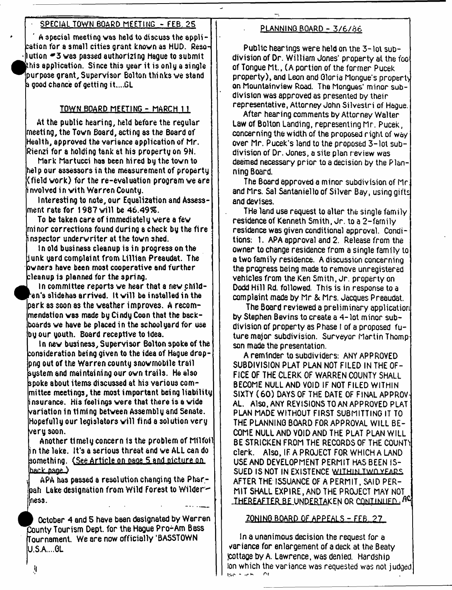#### SPECIAL TOWN BOARD MEETING - FEB. 25

A special meeting was held to discuss the application for a small cities grant known as HUD. Reso- $\cdot$ Nution  $*$ 3 was passed authorizing Hague to submit this application. Since this year it is only a single ^purpose grant, Supervisor Bolton thinks we stand  $\mathfrak b$  good chance of getting it....GL

#### TOWN BOARD MEETING - MARCH 1 1

At the public hearing, held before the regular rneeti ng, the Town Board, acti rig as the Board of Health, approved the variance application of Mr. Rienzi for a holding tank at his property on 9N.

Mark Martucci has been hired bg the town to hel p our assessors in the measurement of propertg (field work) for the re-evaluation program we are i nvolved i n with Warren Countg.

Interesting to note, our Equalization and Assesslment rate for 1987 will be  $46.49\%$ .

To be taken care of immediatelg were a few minor corrections found during a check bg the fire inspector underwriter at the town shed.

In old business cleanup is in progress on the liunk uard complaint from Lillian Preaudat. The owners have been most cooperative and further cleanup is planned for the spring.

9 ln committee reports we hear that a new child- $^\mathsf{t}$ en's slidehas arrived. It will be installed in the park as soon as the weather improves. A recommendation was made bg Cindg Coon that the backboards we have be placed in the school gard for use bg our gouth. Board receptive to Idea.

In new business, Supervisor Bolton spoke of the consideration being given to the idea of Hague droppng out of the Warren countg snowmobile trail sgstemand maintaining our own trails. He also spoke about items discussed at his various committee meetings, the most important being liability insurance. His feelings were that there is a wide (variation in timing between Assembly and Senate. Hopefully our legislators will find a solution very very soon.

Another timely concern Is the problem of Milfoil i n the lake. It's a serious threat and we ALL can do something. (See Article on page 5 and picture on  $\mathsf{back\ name}$ 

APA has passed a resolution changing the Pharbah Lake designation from Wild Forest to Wilderness.

October 4 and 5 have been designated by Werren County Tourism Dept, for the Hague Pro-Am Bass Tournament. We are now officially'BASSTOWN **U.S.A....GL**

#### PLANNING BOARD - 3/6/86

Public hearings were held on the 3-lot subdivision of Dr. William Jones' property at the too of Tongue Mt., (A portion of the former Pucek property), and Leon and Gloria Mongue's property on Mountainview Road. The Morgues' minor subdivision was approved as presented by their representative, Attorney John Silvestri of Hague.

After hearing comments by Attorney Walter Law of Bolton Landing, representing Mr. Pucek, concerning the width of the proposed right of way over Mr. Pucek's land to the proposed 3-lot subdivision of Dr. Jones, a site plan review was deemed necessary prior to a decision by the Planning Board.

The Board approved a minor subdivision of Mr. and Mrs. Sal Santaniello of Silver Bay, using gifts and devises.

THe land use request to alter the single family residence of Kenneth Smith, Jr. to a 2-farnily residence was given conditional approval. Conditions: 1. APA approval and 2. Release from the owner to change residence from a single family to a two family residence. A discussion concerning the progress being made to remove unregistered vehicles from the Ken Smith, Jr. property on Dodd Hill Rd. followed. This is in response to a complaint made by Mr & Mrs. Jacques Preaudat.

The Board reviewed a preliminary application by Stephen Bevins to create a 4- lot minor subdivision of property as Phase I of a proposed future major subdivision. Surveyor Martin Thomp son made the presentation.

A reminder to subdividers: ANY APPROVED SUBDIVISION PLAT PLAN NOT FILED IN THE OF-FICE OF THE CLERK OF WARREN COUNTY SHALL BECOME NULL AND VOID IF NOT FILED WITHIN SIXTY (60) DAYS OF THE DATE OF FINAL APPROV-AL. Also, ANY REVISIONS TO AN APPROVED PLAT PLAN MADE WITHOUT FIRST SUBMITTING IT TO THE PLANNING BOARD FOR APPROVAL WILL BE-COME NULL AND VOID AND THE PLAT PLAN WILL BE STRICKEN FROM THE RECORDS OF THE COUNTY Clerk. Also, IF A PROJECT FOR WHICH A LAND USE AND DEVELOPMENT PERMIT HAS BEEN IS-SUED IS NOT IN EXISTENCE **w it h im Twn yfaps** AFTER THE ISSUANCE OF A PERMIT, SAID PER-MIT SHALL EXPIRE, AND THE PROJECT MAY NOT THEREAFTER BE UNDERTAKEN OR CONTINUED.

#### ZONINO BOARD OF APPEALS - FEB. ?7

In a unanimous decision the request for a variance for enlargement of a deck at the Beaty jcottaae by A. Lawrence, was denied. Hardship Ion which the variance was requested was not judged

if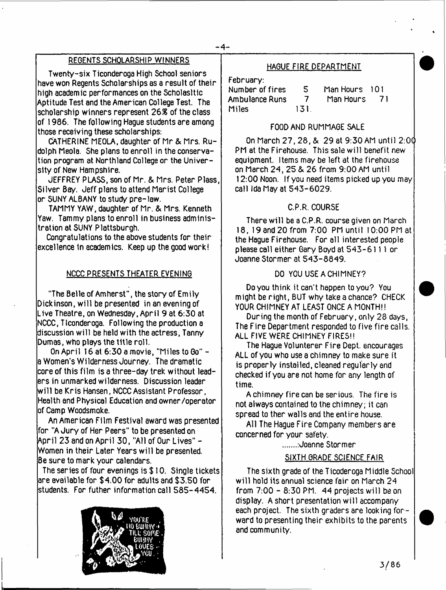### REGENTS SCHOLARSHIP WINNERS

Twenty-six Ticonderoga High School seniors have won Regents Scholarships as a result of their high academic performances on the Scholasltic Aptitude Test and the American College Test. The scholarship winners represent 26& of the class of 1986. The following Hague students are among those receiving these scholarships:

CATHERINE MEOLA, daughter of Mr & Mrs. Rudolph Meola. She plans to enroll in the conservation program at Northland College or the University of New Hampshire.

JEFFREY PLASS, son of Mr. & Mrs. Peter Plass, Silver Bay. Jeff plans to attend Marist College or SUNY ALBANY to study pre-law.

TAMMY YAW, daughter of Mr. & Mrs. Kenneth Yaw. Tammy plans to enroll in business administration at SUNY Plattsburgh.

Congratulations to the above students for their excellence in academics. Keep up the good work!

#### NCCC PRESENTS THEATER EVENING

"The Belle of Amherst", the story of Emily Dickinson, will be presented in an evening of Live Theatre, on Wednesday, April 9 at 6:30 at NCCC, Ticonderoga. Following the production a discussion will be held with the actress, Tanny Dumas, who plays the title roll.

On April 16 at 6:30 a movie, "Miles to Go" a Women's Wilderness Journey. The dramatic core of this film is a three-day trek without leaders in unmarked wilderness. Discussion leader w ill be Kris Hansen, NCCC Assistant Professor, Health and Physical Education and owner/operator of Camp Woodsmoke.

An American Film Festival award was presented for "A Jury of Her Peers" to be presented on April 23 and on April 30, "All of Our Lives" - Women in their Later Years w ill be presented. Be sure to mark your calendars.

The series of four evenings is \$10. Single tickets are available for \$4.00 for adults and \$3.50 for students. For futher information call 585-4454.



#### HAGUE FIRE DEPARTMENT

February:

Number of fires 5 Man Hours 101 Ambulance Runs 7<br>Miles 131 **Miles** 

#### FOOD AND RUMMAGE SALE

On March 27, 28, & 29 at 9:30 AM until 2:00 PM at the Firehouse. This sale will benefit new equipment. Items may be left at the firehouse on March 24, 25 &. 26 from 9:00 AM until 12:00 Noon. If you need items picked up you may call Ida May at 543-6029.

#### C.P.R. COURSE

There will be a C.P.R. course given on March 18, 19 and 20 from 7:00 PM until 10:00 PM at the Hague Firehouse. For all interested people please call either Gary Boyd at 543-611 I or Joanne Stormer at 543-8849.

#### DO YOU USE A CHIMNEY?

Do you think it can't happen to you? You might be right, BUT why take a chance? CHECK YOUR CHIMNEY AT LEAST ONCE A MONTH!!

During the month of February, only 28 days, The Fire Department responded to five fire calls. ALL FIVE WERE CHIMNEY FIRES!!

The Hague Volunterer Fire Dept, encourages ALL of you who use a chimney to make sure it is properly installed, cleaned regularly and checked if you are not home for any length of time.

A chimney fire can be serious. The fire is not always contained to the chimney; it can spread to ther walls and the entire house.

All The Hague Fire Company members are concerned for your safety.

:Joanne Stormer

#### SIXTH GRADE SCIENCE FAIR

The sixth grade of the Ticoderoga Middle School will hold its annual science fair on March 24 from 7:00 - 8:30 PM. 44 projects will be on display. A short presentation will accompany each project. The sixth graders are looking forward to presenting their exhibits to the parents and community.

3/86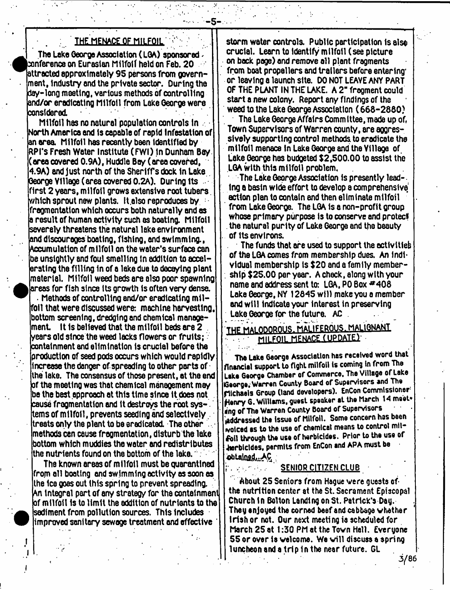#### . THE MENACE OF MILFOIL

- **5** -

The Lake George Association (LGA) sponsored  $\lambda$  $\bm{\varepsilon}$ onference on Eurasian Milfol $\bm{\mathsf{f}}$  held on Feb. 20  $\pm$ lattracted approximately 95 persons from government, industry and the private sector. During the day-long mooting, various methods of controlling and/or eradicating Milfoil from Lake George were considered.

Milfoil has no natural population controls In orth America and Is capable of rapid Infestation of an area Milfoil has recently bsen Identified by  $\mathsf{RPI}$ 's Fresh Water Institute (FWI) in Dunham Bay. area covered 0.9A), Huddle Bay ( area covered,  $\vert$ 4.9A) and just north of the Sheriff's dock in Lake . George Village (area covered 0.2A). During Its ifirst 2 years, milfoil grows extensive root tubers. which sprout new plants. It also reproduces by  $\pm$ fragmentation which occurs both naturally and as result of human activity such as boating. Milfoil severely threatens the natural lake environment and discourages boating, fishing, and swimming., Accumulation of milfoil on the water's surface can be unsightly and foul smelling In addition to accelerating the filling In of a lake due to decaying plant material. Milfoil weed beds are also poor spawning areas for fish since Its growth is often very densa

Methods of controlling and/or eradicating m ilfoil that were discussed were: machine harvesting, bottom screening, dredging and chemical manage $l$  ment,  $l$  it is believed that the milfoil beds are 2  $\,$  $\bm{\lambda}$  is not since the weed lacks flowers or fruits; containment and elimination Is crucial before the  $\operatorname{\mathsf{intract}}$  of seed pods occurs which would rapidly lincrease the danger of spreading to other parts of  $\cdot$ ithe lake. The consensus of those present, at the end of the meetlno was that chemical management may be the best approach at this time since It does not cause fragmentation and It destroys the root systems of milfoil, prevents seeding and selectively. treats only the plant to be eradicated. The other . methods can cause fragmentation, disturb the lake  $\,$  bottom which muddies the water and redistributes  $\,$ ithe nutrients found on the bottom of the lake.  $\cdot$ 

The known areas of milfoil must be quarantined from oil boating and swimming activity as soon as the Ice goes out this spring to prevent spreading. An Integral part of any strategy for the containment of milfoil Is to lim it the addition of nutrients to the sediment from pollution sources. This Includes improved sanitary sewage treatment and effective '

storm water controls. Public participation Is also crucial. Learn to Identify milfoil (see picture on back page) and remove all plant fragments from boat propellers and trailers before entering. or leaving a launch site. DO NOT LEAYE ANY PART OF THE PLANT IN THE LAKE. A 2" fragment could start a new colony. Report any findings of the weed to the Lake George Association (668-2880)

The Lake George Affairs Committee,made up of, Town Supervisors of Warren county, ere aggressively supporting control methods to eradicate the milfoil menace In Lake George and the Village of Lake George has budgeted \$2,500.00 to assist the LGA with this milfoil problem.

The Lake George Association Is presently lead-. Ing a basin wide effort to develop a comprehensive' action plan to contain and then eliminate milfoil from Lake George. The LGA 1s a non-profit group whose primary purpose is to conserve and protect the natural purity of Lake George and the beauty of Its environs.

The funds that are used to support the activities of the LGA comes from membership dues. An Individual membership is \$20 and a family member- : ship \$25.00 per year. A check, along with your name and address sent to:  $LGA$ , PO Box  $#408$ Lake George, NY 12845 will make you a member and will indicate your interest in preserving Lake Georoe for the future. AC .

## **THE MALODOROUS MALIFEROUS. MALIQNAM1 MILFOIL MENACE (UPDATE)**

The Lake George Association has received word that financial support to fight milfoil is coming in from The Lake George Chamber of Commerce. The Village of Lake IGeorge,- Warren County Board of Supervisors and The nichaels Group (land developers). EnCon Commissioner1 Henry G. Williams, guest speaker at the March 14 meet**eng o f The** Warren County Board of Supervisors (addressed the Issue of Milfoil. Some concern has been voiced as to the use of chemical means to control milfoll through the use of herbicides. Prior to the use of 4terblc!des, permits from EnCon and APA must be obtained...AC

#### SENIOR CITIZEN CLUB

 $\mathcal{L}^{\text{max}}_{\text{max}}$ 

About 25 Seniors from Hague were guests of the nutrition center at the St. Sacrament Episcopal Church In Bolton Landing on St. Patrick's Day. They enjoyed the corned beef end cabbage whether Irish or not. Our next meeting is scheduled for March 25 at 1:30 PM at the Town Hall. Everyone 55 or over is welcome. We will discuss a spring luncheon and a trip in the near future. GL

**3^86**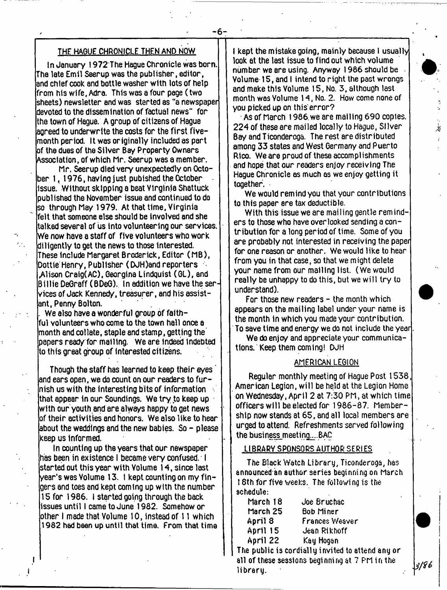#### THF HAGUE CHRONICLE THEN AND NOW

In January 1972 The Hague Chronicle was born. The late Emil Seerup was the publisher, editor, and chief cook and bottle washer with lots of help from his wlfe, Adra. This was a four page ( two sheets) newsletter and was started as "a newspaper devoted to the dissemination of factual news" for the town of Hague. A group of citizens of Hague aoreed to underwrite the costs for the first fivemonth period. It was originally included as part of the dues of the Silver Bay Property Owners Association, of which Mr. Seerup was a member.

Mr. Seerup died very unexpectedly on October 1, 1976, having just pubished the October issue. Without skipping a beat Virginia Shattuck published the November issue and continued to do so through May 1979. At that time. Virginia felt that someone else should be involved and she talked several of us into volunteering our services. We now have a staff of five volunteers who work diligently to get the news to those interested. These Include Margaret Broderick, Editor (MB), Dottie Henry, Publisher (DJH)and reporters .Alison Craig( AC), Georgina Lindquist (GL), and Billie DeGraff (BDeG). In addition we have the services of Jack Kenned/, treasurer, and his assistant, Penny Bolton.

. We also have a wonderful group of faithful volunteers who come to the town hell once a month and collate, staple and stamp, getting the papers read/ for mailing. We are Indeed indebted to this great group of interested citizens.

Though the staff has learned to keep their eyes ' and ears open, we do count on our readers to fur- $\ln$ ish us with the interesting bits of information  $\ldots$ that appear in our Soundings. We try to keep up with our youth and are always happy to get news of their activities and honors. We also like to hear about the weddings and the new babies. So - please keep us Informed.

In counting up the years that our newspaper has been in existence I became very confused. I started out this year with Volume 14, since last year's was Volume 13. I kept counting on my fingers and toes and kept coming up with the number 15 for 1986. I started going through the back issues until I came to June 1982. Somehow or other I made that Volume 10, instead of 11 which 1982 had been up until that time. From that time i kept the mistake going, mainly because I usually look at the last issue to find out which volume number we are using. Anyway 1986 should be Volume 15, and I intend to right the past wrongs and make this Volume 15, No. 3, although last month was Volume 14, No. 2. How come none of you picked up on this error?

As of March 1986.we are mailing 690 copies. 224 of these are mailed locally to Hague, Silver Bay and Ticonderoga. The rest are distributed among 33 states and West Germany and Puerto Rico. We are proud of these accomplishments and hope that our readers enjoy receiving The Hague Chronicle as much as we enjoy getting it together.

*&*

*. a n*

We would remind you that your contributions to this paper are tax deductible.

With this issue we are mailing gentle reminders to those who have overlooked sending a contribution for a long period of time. Some of you are probably not interested in receiving the paper for one reason or another. We would like to hear from you in that case, so that we might delete your name from our mailing list. (We would really be unhappy to do this, but we will try to understand).

For those new readers – the month which appears on the mailing label under your name is the month In which you made your contribution. To save time and energy we do not include the year

We do enjoy and appreciate your communications. Keep them coming! DJH

#### AMERICAN LEGION

Regular monthly meeting of Hague Post 1538 American Legion, will be held at the Legion Home on Wednesday, April 2 at 7:30 PM, at which time officers will be elected for 1986-87. Membership now stands at 65, and all local members are urged to attend. Refreshments served following the business meeting...BAC

#### LIBRARY SPONSORS AUTHOR SERIES

The Black Watch Library, Ticonderoga, has announced an author series beginning on March 16th for five weeks. The following is the schedule:

| March 18 | Joe Bruchac    |
|----------|----------------|
| March 25 | Bob Miner      |
| April 8  | Frances Wesver |
| April 15 | Jean Rikhoff   |
| April 22 | Kay Hogan      |
|          |                |

The public is cordially invited to attend any or all of these sessions beginning at 7 PM in the library.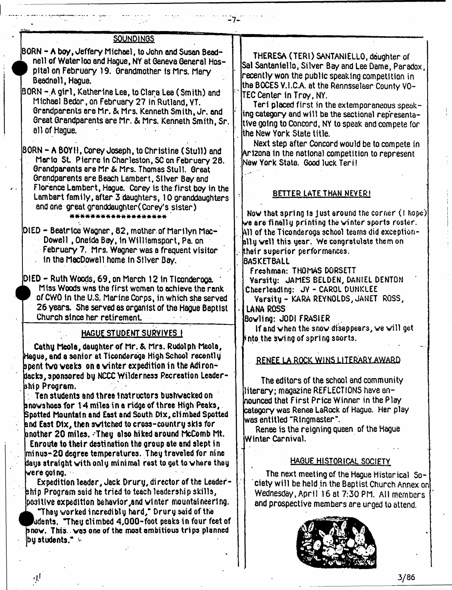| <b>SOUNDINGS</b>                                                                                                                                                                                                                                                                                                                                                                                                                                                                                                                                                 |                                                                                                                                                                                                                                                                                                                                                                                                                             |
|------------------------------------------------------------------------------------------------------------------------------------------------------------------------------------------------------------------------------------------------------------------------------------------------------------------------------------------------------------------------------------------------------------------------------------------------------------------------------------------------------------------------------------------------------------------|-----------------------------------------------------------------------------------------------------------------------------------------------------------------------------------------------------------------------------------------------------------------------------------------------------------------------------------------------------------------------------------------------------------------------------|
| BORN - A boy, Jeffery Michael, to John and Susan Bead-<br>nell of Waterloo and Hague, NY at Geneva General Hos-<br>pital on February 19. Grandmother is Mrs. Mary<br>Beadnell, Hague.<br>BORN - A girl, Katherine Lea, to Clara Lea (Smith) and<br>Michael Bedon, on February 27 in Rutland, VT.<br>Grandparents are Mr. & Mrs. Kenneth Smith, Jr. and<br>Great Grandparents are Mr. & Mrs. Kenneth Smith, Sr.<br>all of Haque.                                                                                                                                  | THERESA (TERI) SANTANIELLO, deughter of<br>Sal Santaniello, Silver Bay and Lee Dame, Paradox,<br>recently won the public speaking competition in<br>the BOCES V.I.C.A. at the Rennsselaer County VO-<br>TEC Center in Troy, NY.<br>Teri placed first in the extemporaneous speak-<br>ing category and will be the sectional representa-<br>tive going to Concord, NY to speak and compete for<br>ithe New York State title. |
| BORN - A BOY!!, Corey Joseph, to Christine (Stull) and<br>Mario St. Pierre in Charleston, SC on February 28.<br>Grandparents are Mr & Mrs. Thomas Stull. Great<br>Grandparents are Beach Lambert, Silver Bay and<br>Florence Lambert, Hague. Corey is the first boy in the<br>Lambert family, after 3 daughters, 10 granddaughters<br>and one great granddaughter (Corey's sister)<br>*******************<br>DIED - Beatrice Wagner, 82, mother of Marilyn Mac-<br>Dowell, Oneida Bay, in Williamsport, Pa. on<br>February 7. Mrs. Wagner was a frequent visitor | Next step after Concord would be to compete in<br>Arizona in the national competition to represent<br>New York State. Good luck Teri!<br><b>BETTER LATE THAN NEVER!</b><br>Now that spring is just around the corner (I hope)<br>we are finally printing the winter sports roster.<br>All of the Ticonderoga school teams did exception-<br>ally well this year. We congratulate them on<br>their superior performances.    |
| in the MecDowell home in Silver Bay.<br>DIED - Ruth Woods, 69, on March 12 in Ticonderoga.<br>Miss Woods was the first woman to achieve the rank<br>of CWO in the U.S. Marine Corps, in which she served<br>26 years. She served as organist of the Hague Baptist<br>Church since her retirement.<br><u>HAGUE STUDENT SURYIYES!</u><br>Cathy Meola, daughter of Mr. & Mrs. Rudolph Meola,<br>Hague, and a senior at Ticonderoga High School recently                                                                                                             | <b>BASKETBALL</b><br>Freshman: THOMAS DORSETT<br>Varsity: JAMES BELDEN, DANIEL DENTON<br>Cheerleading: JY - CAROL DUNKLEE<br>Varsity - KARA REYNOLDS, JANET ROSS,<br><b>LANA ROSS</b><br>Bowling: JODI FRASIER<br>If and when the snow disappears, we will get<br>into the swing of spring sports.                                                                                                                          |
| ${\tt spent}$ two weeks-on a winter expedition in the Adiron- $\overline{\phantom{a}}$<br>dacks, sponsored by NCCC Wilderness Pecreation Leader-<br>bhio Program.<br>Ten students and three instructors bushwacked on<br>bnowshoes for 14 miles in a ridge of three High Peaks, .<br>Spotted Mountain and East and South Dix, climbed Spotted<br>and East Dix, then switched to cross-country skis for<br>another 20 miles. They also hiked around McComb Mt.<br>Enroute to their destination the group ate and slept in                                         | RENEE LA ROCK WINS LITERARY AWARD<br>The editors of the school and community<br>literary; magazine REFLECTIONS have an-<br>hounced that First Price Winner in the Play<br>category was Renee LaRock of Hague. Her play<br>was entitled "Ringmaster".<br>Renee is the reigning queen of the Hague<br>Winter Carnival.                                                                                                        |
| minus-20 degree temperatures. They traveled for nine<br>days straight with only minimal rest to get to where they<br>$\sim$ ere going. $\sim$<br>Expedition leader, Jack Drury, director of the Leader-<br>ship Program said he tried to teach leadership skills,<br>positive expedition behavior and winter mountaineering.<br>"They worked incredibly hard," Drury said of the<br>udents,"Theu climbed 4,000-foot peaks in four feet of<br>pnow. This. was one of the most ambitious trips planned<br>by students."                                            | <b>HAGUE HISTORICAL SOCIETY</b><br>The next meeting of the Hague Historical So-<br>ciety will be held in the Baptist Church Annex on<br>Wednesday, April 16 at 7:30 PM. All members<br>and prospective members are urged to attend.                                                                                                                                                                                         |

- **7**-

**3/86**

ار.